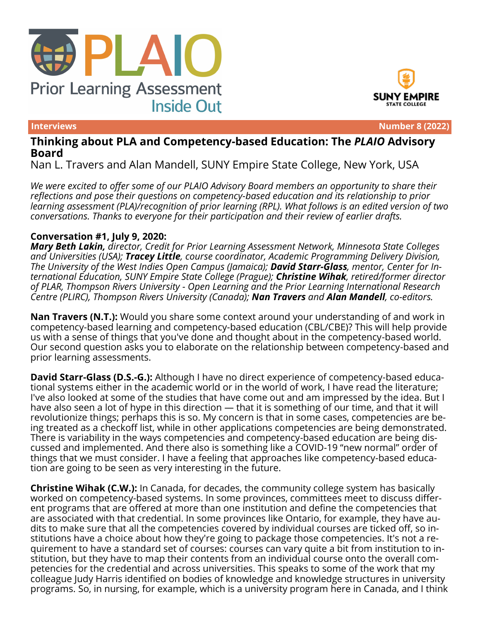





**Interviews Number 8 (2022)**

## **Thinking about PLA and Competency-based Education: The** *PLAIO* **Advisory Board**

Nan L. Travers and Alan Mandell, SUNY Empire State College, New York, USA

*We were excited to offer some of our PLAIO Advisory Board members an opportunity to share their reflections and pose their questions on competency-based education and its relationship to prior learning assessment (PLA)/recognition of prior learning (RPL). What follows is an edited version of two conversations. Thanks to everyone for their participation and their review of earlier drafts.*

## **Conversation #1, July 9, 2020:**

*Mary Beth Lakin, director, Credit for Prior Learning Assessment Network, Minnesota State Colleges and Universities (USA); Tracey Little, course coordinator, Academic Programming Delivery Division, The University of the West Indies Open Campus (Jamaica); David Starr-Glass, mentor, Center for International Education, SUNY Empire State College (Prague); Christine Wihak, retired/former director of PLAR, Thompson Rivers University - Open Learning and the Prior Learning International Research Centre (PLIRC), Thompson Rivers University (Canada); Nan Travers and Alan Mandell, co-editors.*

**Nan Travers (N.T.):** Would you share some context around your understanding of and work in competency-based learning and competency-based education (CBL/CBE)? This will help provide us with a sense of things that you've done and thought about in the competency-based world. Our second question asks you to elaborate on the relationship between competency-based and prior learning assessments.

**David Starr-Glass (D.S.-G.):** Although I have no direct experience of competency-based educational systems either in the academic world or in the world of work, I have read the literature; I've also looked at some of the studies that have come out and am impressed by the idea. But I have also seen a lot of hype in this direction — that it is something of our time, and that it will revolutionize things; perhaps this is so. My concern is that in some cases, competencies are being treated as a checkoff list, while in other applications competencies are being demonstrated. There is variability in the ways competencies and competency-based education are being discussed and implemented. And there also is something like a COVID-19 "new normal" order of things that we must consider. I have a feeling that approaches like competency-based education are going to be seen as very interesting in the future.

**Christine Wihak (C.W.):** In Canada, for decades, the community college system has basically worked on competency-based systems. In some provinces, committees meet to discuss different programs that are offered at more than one institution and define the competencies that are associated with that credential. In some provinces like Ontario, for example, they have audits to make sure that all the competencies covered by individual courses are ticked off, so institutions have a choice about how they're going to package those competencies. It's not a requirement to have a standard set of courses: courses can vary quite a bit from institution to institution, but they have to map their contents from an individual course onto the overall competencies for the credential and across universities. This speaks to some of the work that my colleague Judy Harris identified on bodies of knowledge and knowledge structures in university programs. So, in nursing, for example, which is a university program here in Canada, and I think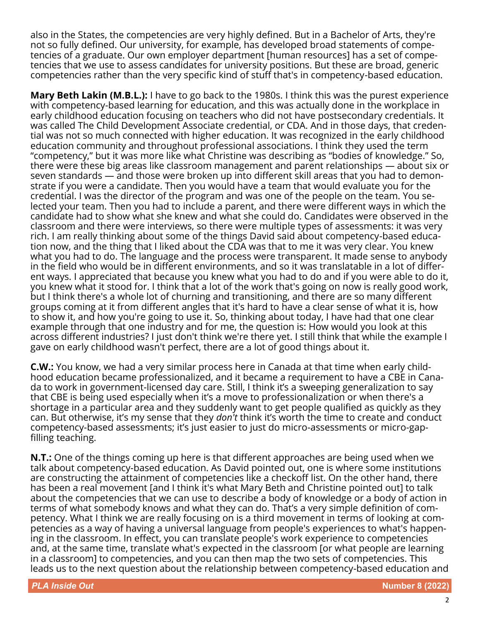also in the States, the competencies are very highly defined. But in a Bachelor of Arts, they're not so fully defined. Our university, for example, has developed broad statements of competencies of a graduate. Our own employer department [human resources] has a set of competencies that we use to assess candidates for university positions. But these are broad, generic competencies rather than the very specific kind of stuff that's in competency-based education.

**Mary Beth Lakin (M.B.L.):** I have to go back to the 1980s. I think this was the purest experience with competency-based learning for education, and this was actually done in the workplace in early childhood education focusing on teachers who did not have postsecondary credentials. It was called The Child Development Associate credential, or CDA. And in those days, that credential was not so much connected with higher education. It was recognized in the early childhood education community and throughout professional associations. I think they used the term "competency," but it was more like what Christine was describing as "bodies of knowledge." So, there were these big areas like classroom management and parent relationships — about six or seven standards — and those were broken up into different skill areas that you had to demonstrate if you were a candidate. Then you would have a team that would evaluate you for the credential. I was the director of the program and was one of the people on the team. You selected your team. Then you had to include a parent, and there were different ways in which the candidate had to show what she knew and what she could do. Candidates were observed in the classroom and there were interviews, so there were multiple types of assessments: it was very rich. I am really thinking about some of the things David said about competency-based education now, and the thing that I liked about the CDA was that to me it was very clear. You knew what you had to do. The language and the process were transparent. It made sense to anybody in the field who would be in different environments, and so it was translatable in a lot of different ways. I appreciated that because you knew what you had to do and if you were able to do it, you knew what it stood for. I think that a lot of the work that's going on now is really good work, but I think there's a whole lot of churning and transitioning, and there are so many different groups coming at it from different angles that it's hard to have a clear sense of what it is, how to show it, and how you're going to use it. So, thinking about today, I have had that one clear example through that one industry and for me, the question is: How would you look at this across different industries? I just don't think we're there yet. I still think that while the example I gave on early childhood wasn't perfect, there are a lot of good things about it.

**C.W.:** You know, we had a very similar process here in Canada at that time when early childhood education became professionalized, and it became a requirement to have a CBE in Canada to work in government-licensed day care. Still, I think it's a sweeping generalization to say that CBE is being used especially when it's a move to professionalization or when there's a shortage in a particular area and they suddenly want to get people qualified as quickly as they can. But otherwise, it's my sense that they *don't* think it's worth the time to create and conduct competency-based assessments; it's just easier to just do micro-assessments or micro-gapfilling teaching.

**N.T.:** One of the things coming up here is that different approaches are being used when we talk about competency-based education. As David pointed out, one is where some institutions are constructing the attainment of competencies like a checkoff list. On the other hand, there has been a real movement [and I think it's what Mary Beth and Christine pointed out] to talk about the competencies that we can use to describe a body of knowledge or a body of action in terms of what somebody knows and what they can do. That's a very simple definition of competency. What I think we are really focusing on is a third movement in terms of looking at competencies as a way of having a universal language from people's experiences to what's happening in the classroom. In effect, you can translate people's work experience to competencies and, at the same time, translate what's expected in the classroom [or what people are learning in a classroom] to competencies, and you can then map the two sets of competencies. This leads us to the next question about the relationship between competency-based education and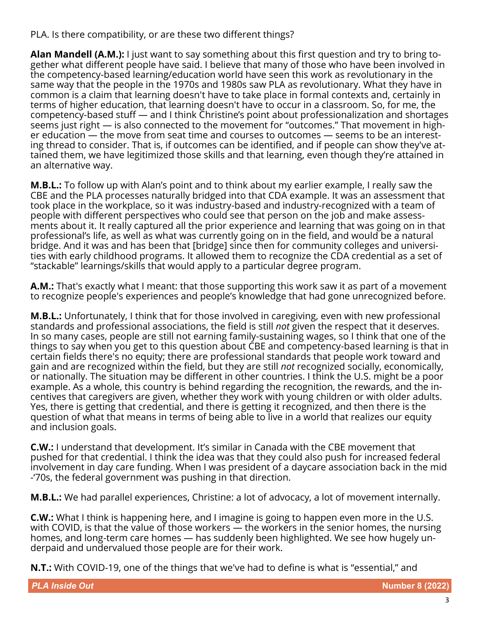PLA. Is there compatibility, or are these two different things?

**Alan Mandell (A.M.):** I just want to say something about this first question and try to bring together what different people have said. I believe that many of those who have been involved in the competency-based learning/education world have seen this work as revolutionary in the same way that the people in the 1970s and 1980s saw PLA as revolutionary. What they have in common is a claim that learning doesn't have to take place in formal contexts and, certainly in terms of higher education, that learning doesn't have to occur in a classroom. So, for me, the competency-based stuff — and I think Christine's point about professionalization and shortages seems just right — is also connected to the movement for "outcomes." That movement in higher education — the move from seat time and courses to outcomes — seems to be an interesting thread to consider. That is, if outcomes can be identified, and if people can show they've attained them, we have legitimized those skills and that learning, even though they're attained in an alternative way.

**M.B.L.:** To follow up with Alan's point and to think about my earlier example, I really saw the CBE and the PLA processes naturally bridged into that CDA example. It was an assessment that took place in the workplace, so it was industry-based and industry-recognized with a team of people with different perspectives who could see that person on the job and make assessments about it. It really captured all the prior experience and learning that was going on in that professional's life, as well as what was currently going on in the field, and would be a natural bridge. And it was and has been that [bridge] since then for community colleges and universities with early childhood programs. It allowed them to recognize the CDA credential as a set of "stackable" learnings/skills that would apply to a particular degree program.

**A.M.:** That's exactly what I meant: that those supporting this work saw it as part of a movement to recognize people's experiences and people's knowledge that had gone unrecognized before.

**M.B.L.:** Unfortunately, I think that for those involved in caregiving, even with new professional standards and professional associations, the field is still *not* given the respect that it deserves. In so many cases, people are still not earning family-sustaining wages, so I think that one of the things to say when you get to this question about CBE and competency-based learning is that in certain fields there's no equity; there are professional standards that people work toward and gain and are recognized within the field, but they are still *not* recognized socially, economically, or nationally. The situation may be different in other countries. I think the U.S. might be a poor example. As a whole, this country is behind regarding the recognition, the rewards, and the incentives that caregivers are given, whether they work with young children or with older adults. Yes, there is getting that credential, and there is getting it recognized, and then there is the question of what that means in terms of being able to live in a world that realizes our equity and inclusion goals.

**C.W.:** I understand that development. It's similar in Canada with the CBE movement that pushed for that credential. I think the idea was that they could also push for increased federal involvement in day care funding. When I was president of a daycare association back in the mid -'70s, the federal government was pushing in that direction.

**M.B.L.:** We had parallel experiences, Christine: a lot of advocacy, a lot of movement internally.

**C.W.:** What I think is happening here, and I imagine is going to happen even more in the U.S. with COVID, is that the value of those workers — the workers in the senior homes, the nursing homes, and long-term care homes — has suddenly been highlighted. We see how hugely underpaid and undervalued those people are for their work.

**N.T.:** With COVID-19, one of the things that we've had to define is what is "essential," and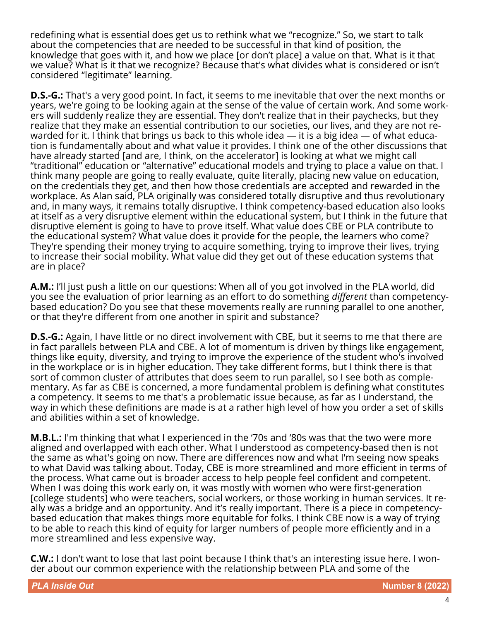redefining what is essential does get us to rethink what we "recognize." So, we start to talk about the competencies that are needed to be successful in that kind of position, the knowledge that goes with it, and how we place [or don't place] a value on that. What is it that we value? What is it that we recognize? Because that's what divides what is considered or isn't considered "legitimate" learning.

**D.S.-G.:** That's a very good point. In fact, it seems to me inevitable that over the next months or years, we're going to be looking again at the sense of the value of certain work. And some workers will suddenly realize they are essential. They don't realize that in their paychecks, but they realize that they make an essential contribution to our societies, our lives, and they are not rewarded for it. I think that brings us back to this whole idea  $-$  it is a big idea  $-$  of what education is fundamentally about and what value it provides. I think one of the other discussions that have already started [and are, I think, on the accelerator] is looking at what we might call "traditional" education or "alternative" educational models and trying to place a value on that. I think many people are going to really evaluate, quite literally, placing new value on education, on the credentials they get, and then how those credentials are accepted and rewarded in the workplace. As Alan said, PLA originally was considered totally disruptive and thus revolutionary and, in many ways, it remains totally disruptive. I think competency-based education also looks at itself as a very disruptive element within the educational system, but I think in the future that disruptive element is going to have to prove itself. What value does CBE or PLA contribute to the educational system? What value does it provide for the people, the learners who come? They're spending their money trying to acquire something, trying to improve their lives, trying to increase their social mobility. What value did they get out of these education systems that are in place?

**A.M.:** I'll just push a little on our questions: When all of you got involved in the PLA world, did you see the evaluation of prior learning as an effort to do something *different* than competencybased education? Do you see that these movements really are running parallel to one another, or that they're different from one another in spirit and substance?

**D.S.-G.:** Again, I have little or no direct involvement with CBE, but it seems to me that there are in fact parallels between PLA and CBE. A lot of momentum is driven by things like engagement, things like equity, diversity, and trying to improve the experience of the student who's involved in the workplace or is in higher education. They take different forms, but I think there is that sort of common cluster of attributes that does seem to run parallel, so I see both as complementary. As far as CBE is concerned, a more fundamental problem is defining what constitutes a competency. It seems to me that's a problematic issue because, as far as I understand, the way in which these definitions are made is at a rather high level of how you order a set of skills and abilities within a set of knowledge.

**M.B.L.:** I'm thinking that what I experienced in the '70s and '80s was that the two were more aligned and overlapped with each other. What I understood as competency-based then is not the same as what's going on now. There are differences now and what I'm seeing now speaks to what David was talking about. Today, CBE is more streamlined and more efficient in terms of the process. What came out is broader access to help people feel confident and competent. When I was doing this work early on, it was mostly with women who were first-generation [college students] who were teachers, social workers, or those working in human services. It really was a bridge and an opportunity. And it's really important. There is a piece in competencybased education that makes things more equitable for folks. I think CBE now is a way of trying to be able to reach this kind of equity for larger numbers of people more efficiently and in a more streamlined and less expensive way.

**C.W.:** I don't want to lose that last point because I think that's an interesting issue here. I wonder about our common experience with the relationship between PLA and some of the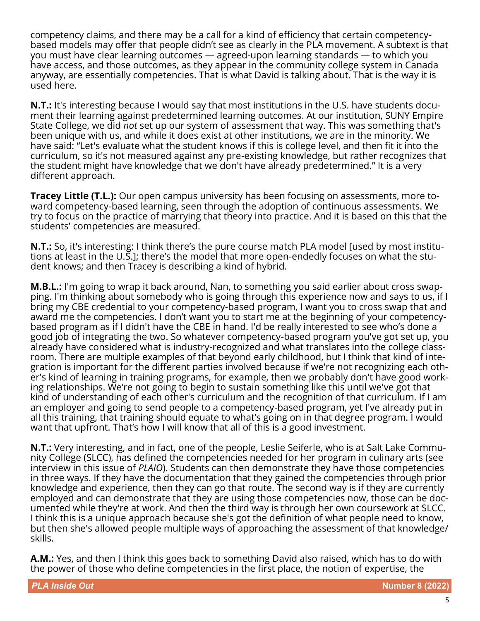competency claims, and there may be a call for a kind of efficiency that certain competencybased models may offer that people didn't see as clearly in the PLA movement. A subtext is that you must have clear learning outcomes — agreed-upon learning standards — to which you have access, and those outcomes, as they appear in the community college system in Canada anyway, are essentially competencies. That is what David is talking about. That is the way it is used here.

**N.T.:** It's interesting because I would say that most institutions in the U.S. have students document their learning against predetermined learning outcomes. At our institution, SUNY Empire State College, we did *not* set up our system of assessment that way. This was something that's been unique with us, and while it does exist at other institutions, we are in the minority. We have said: "Let's evaluate what the student knows if this is college level, and then fit it into the curriculum, so it's not measured against any pre-existing knowledge, but rather recognizes that the student might have knowledge that we don't have already predetermined." It is a very different approach.

**Tracey Little (T.L.):** Our open campus university has been focusing on assessments, more toward competency-based learning, seen through the adoption of continuous assessments. We try to focus on the practice of marrying that theory into practice. And it is based on this that the students' competencies are measured.

**N.T.:** So, it's interesting: I think there's the pure course match PLA model [used by most institutions at least in the U.S.]; there's the model that more open-endedly focuses on what the student knows; and then Tracey is describing a kind of hybrid.

**M.B.L.:** I'm going to wrap it back around, Nan, to something you said earlier about cross swapping. I'm thinking about somebody who is going through this experience now and says to us, if I bring my CBE credential to your competency-based program, I want you to cross swap that and award me the competencies. I don't want you to start me at the beginning of your competencybased program as if I didn't have the CBE in hand. I'd be really interested to see who's done a good job of integrating the two. So whatever competency-based program you've got set up, you already have considered what is industry-recognized and what translates into the college classroom. There are multiple examples of that beyond early childhood, but I think that kind of integration is important for the different parties involved because if we're not recognizing each other's kind of learning in training programs, for example, then we probably don't have good working relationships. We're not going to begin to sustain something like this until we've got that kind of understanding of each other's curriculum and the recognition of that curriculum. If I am an employer and going to send people to a competency-based program, yet I've already put in all this training, that training should equate to what's going on in that degree program. I would want that upfront. That's how I will know that all of this is a good investment.

**N.T.:** Very interesting, and in fact, one of the people, Leslie Seiferle, who is at Salt Lake Community College (SLCC), has defined the competencies needed for her program in culinary arts (see interview in this issue of *PLAIO*). Students can then demonstrate they have those competencies in three ways. If they have the documentation that they gained the competencies through prior knowledge and experience, then they can go that route. The second way is if they are currently employed and can demonstrate that they are using those competencies now, those can be documented while they're at work. And then the third way is through her own coursework at SLCC. I think this is a unique approach because she's got the definition of what people need to know, but then she's allowed people multiple ways of approaching the assessment of that knowledge/ skills.

**A.M.:** Yes, and then I think this goes back to something David also raised, which has to do with the power of those who define competencies in the first place, the notion of expertise, the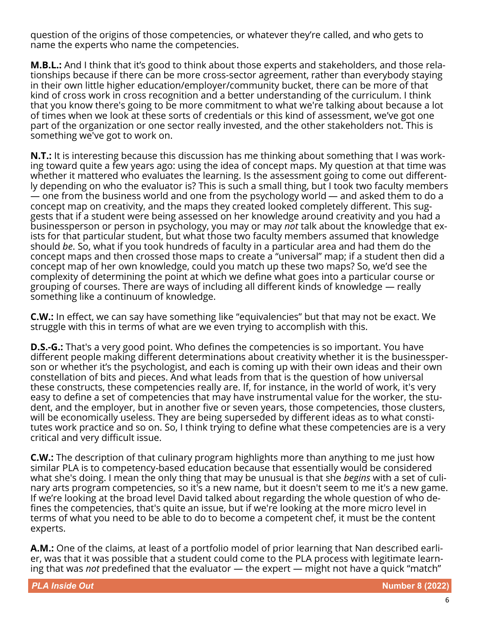question of the origins of those competencies, or whatever they're called, and who gets to name the experts who name the competencies.

**M.B.L.:** And I think that it's good to think about those experts and stakeholders, and those relationships because if there can be more cross-sector agreement, rather than everybody staying in their own little higher education/employer/community bucket, there can be more of that kind of cross work in cross recognition and a better understanding of the curriculum. I think that you know there's going to be more commitment to what we're talking about because a lot of times when we look at these sorts of credentials or this kind of assessment, we've got one part of the organization or one sector really invested, and the other stakeholders not. This is something we've got to work on.

**N.T.:** It is interesting because this discussion has me thinking about something that I was working toward quite a few years ago: using the idea of concept maps. My question at that time was whether it mattered who evaluates the learning. Is the assessment going to come out differently depending on who the evaluator is? This is such a small thing, but I took two faculty members — one from the business world and one from the psychology world — and asked them to do a concept map on creativity, and the maps they created looked completely different. This suggests that if a student were being assessed on her knowledge around creativity and you had a businessperson or person in psychology, you may or may *not* talk about the knowledge that exists for that particular student, but what those two faculty members assumed that knowledge should *be*. So, what if you took hundreds of faculty in a particular area and had them do the concept maps and then crossed those maps to create a "universal" map; if a student then did a concept map of her own knowledge, could you match up these two maps? So, we'd see the complexity of determining the point at which we define what goes into a particular course or grouping of courses. There are ways of including all different kinds of knowledge — really something like a continuum of knowledge.

**C.W.:** In effect, we can say have something like "equivalencies" but that may not be exact. We struggle with this in terms of what are we even trying to accomplish with this.

**D.S.-G.:** That's a very good point. Who defines the competencies is so important. You have different people making different determinations about creativity whether it is the businessperson or whether it's the psychologist, and each is coming up with their own ideas and their own constellation of bits and pieces. And what leads from that is the question of how universal these constructs, these competencies really are. If, for instance, in the world of work, it's very easy to define a set of competencies that may have instrumental value for the worker, the student, and the employer, but in another five or seven years, those competencies, those clusters, will be economically useless. They are being superseded by different ideas as to what constitutes work practice and so on. So, I think trying to define what these competencies are is a very critical and very difficult issue.

**C.W.:** The description of that culinary program highlights more than anything to me just how similar PLA is to competency-based education because that essentially would be considered what she's doing. I mean the only thing that may be unusual is that she *begins* with a set of culinary arts program competencies, so it's a new name, but it doesn't seem to me it's a new game. If we're looking at the broad level David talked about regarding the whole question of who defines the competencies, that's quite an issue, but if we're looking at the more micro level in terms of what you need to be able to do to become a competent chef, it must be the content experts.

**A.M.:** One of the claims, at least of a portfolio model of prior learning that Nan described earlier, was that it was possible that a student could come to the PLA process with legitimate learning that was *not* predefined that the evaluator — the expert — might not have a quick "match"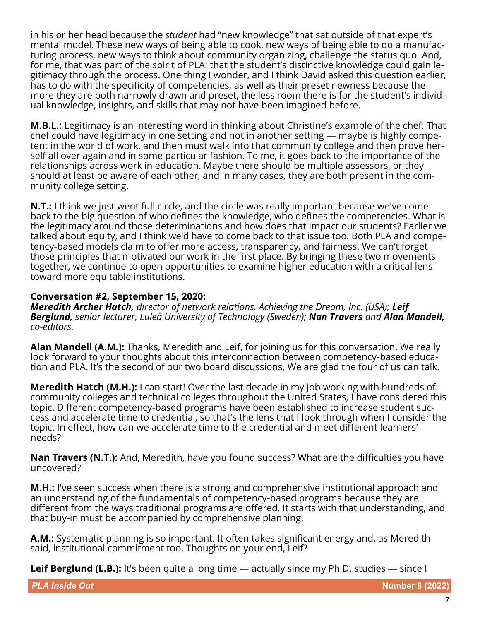in his or her head because the *student* had "new knowledge" that sat outside of that expert's mental model. These new ways of being able to cook, new ways of being able to do a manufacturing process, new ways to think about community organizing, challenge the status quo. And, for me, that was part of the spirit of PLA: that the student's distinctive knowledge could gain legitimacy through the process. One thing I wonder, and I think David asked this question earlier, has to do with the specificity of competencies, as well as their preset newness because the more they are both narrowly drawn and preset, the less room there is for the student's individual knowledge, insights, and skills that may not have been imagined before.

**M.B.L.:** Legitimacy is an interesting word in thinking about Christine's example of the chef. That chef could have legitimacy in one setting and not in another setting — maybe is highly competent in the world of work, and then must walk into that community college and then prove herself all over again and in some particular fashion. To me, it goes back to the importance of the relationships across work in education. Maybe there should be multiple assessors, or they should at least be aware of each other, and in many cases, they are both present in the community college setting.

**N.T.:** I think we just went full circle, and the circle was really important because we've come back to the big question of who defines the knowledge, who defines the competencies. What is the legitimacy around those determinations and how does that impact our students? Earlier we talked about equity, and I think we'd have to come back to that issue too. Both PLA and competency-based models claim to offer more access, transparency, and fairness. We can't forget those principles that motivated our work in the first place. By bringing these two movements together, we continue to open opportunities to examine higher education with a critical lens toward more equitable institutions.

## **Conversation #2, September 15, 2020:**

*Meredith Archer Hatch, director of network relations, Achieving the Dream, Inc. (USA); Leif Berglund, senior lecturer, Luleå University of Technology (Sweden); Nan Travers and Alan Mandell, co-editors.*

**Alan Mandell (A.M.):** Thanks, Meredith and Leif, for joining us for this conversation. We really look forward to your thoughts about this interconnection between competency-based education and PLA. It's the second of our two board discussions. We are glad the four of us can talk.

**Meredith Hatch (M.H.):** I can start! Over the last decade in my job working with hundreds of community colleges and technical colleges throughout the United States, I have considered this topic. Different competency-based programs have been established to increase student success and accelerate time to credential, so that's the lens that I look through when I consider the topic. In effect, how can we accelerate time to the credential and meet different learners' needs?

**Nan Travers (N.T.):** And, Meredith, have you found success? What are the difficulties you have uncovered?

**M.H.:** I've seen success when there is a strong and comprehensive institutional approach and an understanding of the fundamentals of competency-based programs because they are different from the ways traditional programs are offered. It starts with that understanding, and that buy-in must be accompanied by comprehensive planning.

**A.M.:** Systematic planning is so important. It often takes significant energy and, as Meredith said, institutional commitment too. Thoughts on your end, Leif?

**Leif Berglund (L.B.):** It's been quite a long time — actually since my Ph.D. studies — since I

**PLA Inside Out Number 8 (2022)**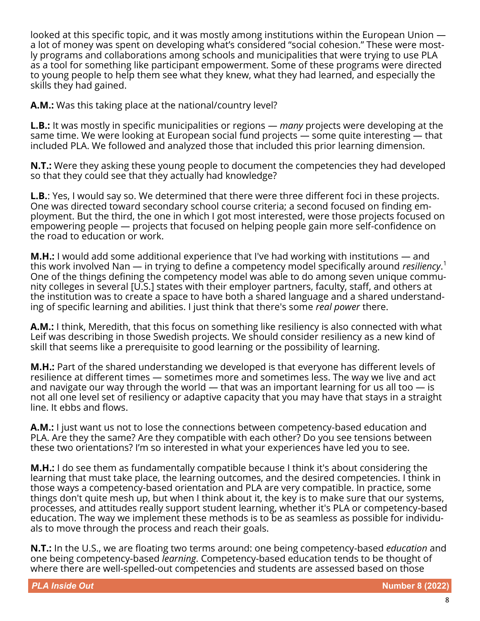looked at this specific topic, and it was mostly among institutions within the European Union a lot of money was spent on developing what's considered "social cohesion." These were mostly programs and collaborations among schools and municipalities that were trying to use PLA as a tool for something like participant empowerment. Some of these programs were directed to young people to help them see what they knew, what they had learned, and especially the skills they had gained.

**A.M.:** Was this taking place at the national/country level?

**L.B.:** It was mostly in specific municipalities or regions — *many* projects were developing at the same time. We were looking at European social fund projects — some quite interesting — that included PLA. We followed and analyzed those that included this prior learning dimension.

**N.T.:** Were they asking these young people to document the competencies they had developed so that they could see that they actually had knowledge?

**L.B.**: Yes, I would say so. We determined that there were three different foci in these projects. One was directed toward secondary school course criteria; a second focused on finding employment. But the third, the one in which I got most interested, were those projects focused on empowering people — projects that focused on helping people gain more self-confidence on the road to education or work.

**M.H.:** I would add some additional experience that I've had working with institutions — and this work involved Nan — in trying to define a competency model specifically around *resiliency*. 1 One of the things defining the competency model was able to do among seven unique community colleges in several [U.S.] states with their employer partners, faculty, staff, and others at the institution was to create a space to have both a shared language and a shared understanding of specific learning and abilities. I just think that there's some *real power* there.

**A.M.:** I think, Meredith, that this focus on something like resiliency is also connected with what Leif was describing in those Swedish projects. We should consider resiliency as a new kind of skill that seems like a prerequisite to good learning or the possibility of learning.

**M.H.:** Part of the shared understanding we developed is that everyone has different levels of resilience at different times — sometimes more and sometimes less. The way we live and act and navigate our way through the world — that was an important learning for us all too — is not all one level set of resiliency or adaptive capacity that you may have that stays in a straight line. It ebbs and flows.

**A.M.:** I just want us not to lose the connections between competency-based education and PLA. Are they the same? Are they compatible with each other? Do you see tensions between these two orientations? I'm so interested in what your experiences have led you to see.

**M.H.:** I do see them as fundamentally compatible because I think it's about considering the learning that must take place, the learning outcomes, and the desired competencies. I think in those ways a competency-based orientation and PLA are very compatible. In practice, some things don't quite mesh up, but when I think about it, the key is to make sure that our systems, processes, and attitudes really support student learning, whether it's PLA or competency-based education. The way we implement these methods is to be as seamless as possible for individuals to move through the process and reach their goals.

**N.T.:** In the U.S., we are floating two terms around: one being competency-based *education* and one being competency-based *learning*. Competency-based education tends to be thought of where there are well-spelled-out competencies and students are assessed based on those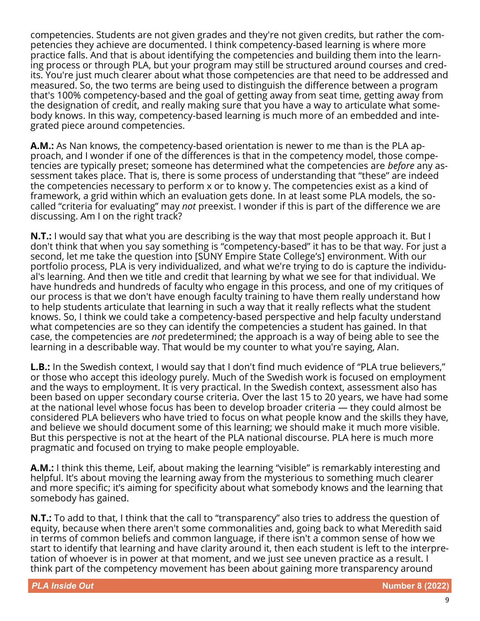competencies. Students are not given grades and they're not given credits, but rather the competencies they achieve are documented. I think competency-based learning is where more practice falls. And that is about identifying the competencies and building them into the learning process or through PLA, but your program may still be structured around courses and credits. You're just much clearer about what those competencies are that need to be addressed and measured. So, the two terms are being used to distinguish the difference between a program that's 100% competency-based and the goal of getting away from seat time, getting away from the designation of credit, and really making sure that you have a way to articulate what somebody knows. In this way, competency-based learning is much more of an embedded and integrated piece around competencies.

**A.M.:** As Nan knows, the competency-based orientation is newer to me than is the PLA approach, and I wonder if one of the differences is that in the competency model, those competencies are typically preset; someone has determined what the competencies are *before* any assessment takes place. That is, there is some process of understanding that "these" are indeed the competencies necessary to perform x or to know y. The competencies exist as a kind of framework, a grid within which an evaluation gets done. In at least some PLA models, the socalled "criteria for evaluating" may *not* preexist. I wonder if this is part of the difference we are discussing. Am I on the right track?

**N.T.:** I would say that what you are describing is the way that most people approach it. But I don't think that when you say something is "competency-based" it has to be that way. For just a second, let me take the question into [SUNY Empire State College's] environment. With our portfolio process, PLA is very individualized, and what we're trying to do is capture the individual's learning. And then we title and credit that learning by what we see for that individual. We have hundreds and hundreds of faculty who engage in this process, and one of my critiques of our process is that we don't have enough faculty training to have them really understand how to help students articulate that learning in such a way that it really reflects what the student knows. So, I think we could take a competency-based perspective and help faculty understand what competencies are so they can identify the competencies a student has gained. In that case, the competencies are *not* predetermined; the approach is a way of being able to see the learning in a describable way. That would be my counter to what you're saying, Alan.

**L.B.:** In the Swedish context, I would say that I don't find much evidence of "PLA true believers," or those who accept this ideology purely. Much of the Swedish work is focused on employment and the ways to employment. It is very practical. In the Swedish context, assessment also has been based on upper secondary course criteria. Over the last 15 to 20 years, we have had some at the national level whose focus has been to develop broader criteria — they could almost be considered PLA believers who have tried to focus on what people know and the skills they have, and believe we should document some of this learning; we should make it much more visible. But this perspective is not at the heart of the PLA national discourse. PLA here is much more pragmatic and focused on trying to make people employable.

**A.M.:** I think this theme, Leif, about making the learning "visible" is remarkably interesting and helpful. It's about moving the learning away from the mysterious to something much clearer and more specific; it's aiming for specificity about what somebody knows and the learning that somebody has gained.

**N.T.:** To add to that, I think that the call to "transparency" also tries to address the question of equity, because when there aren't some commonalities and, going back to what Meredith said in terms of common beliefs and common language, if there isn't a common sense of how we start to identify that learning and have clarity around it, then each student is left to the interpretation of whoever is in power at that moment, and we just see uneven practice as a result. I think part of the competency movement has been about gaining more transparency around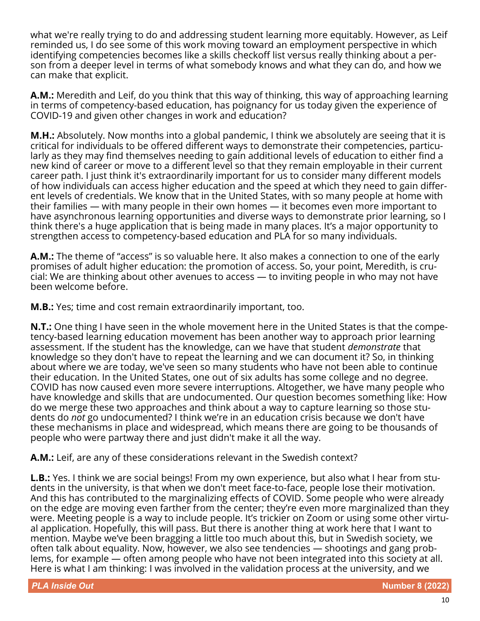what we're really trying to do and addressing student learning more equitably. However, as Leif reminded us, I do see some of this work moving toward an employment perspective in which identifying competencies becomes like a skills checkoff list versus really thinking about a person from a deeper level in terms of what somebody knows and what they can do, and how we can make that explicit.

**A.M.:** Meredith and Leif, do you think that this way of thinking, this way of approaching learning in terms of competency-based education, has poignancy for us today given the experience of COVID-19 and given other changes in work and education?

**M.H.:** Absolutely. Now months into a global pandemic, I think we absolutely are seeing that it is critical for individuals to be offered different ways to demonstrate their competencies, particularly as they may find themselves needing to gain additional levels of education to either find a new kind of career or move to a different level so that they remain employable in their current career path. I just think it's extraordinarily important for us to consider many different models of how individuals can access higher education and the speed at which they need to gain different levels of credentials. We know that in the United States, with so many people at home with their families — with many people in their own homes — it becomes even more important to have asynchronous learning opportunities and diverse ways to demonstrate prior learning, so I think there's a huge application that is being made in many places. It's a major opportunity to strengthen access to competency-based education and PLA for so many individuals.

**A.M.:** The theme of "access" is so valuable here. It also makes a connection to one of the early promises of adult higher education: the promotion of access. So, your point, Meredith, is crucial: We are thinking about other avenues to access — to inviting people in who may not have been welcome before.

**M.B.:** Yes; time and cost remain extraordinarily important, too.

**N.T.:** One thing I have seen in the whole movement here in the United States is that the competency-based learning education movement has been another way to approach prior learning assessment. If the student has the knowledge, can we have that student *demonstrate* that knowledge so they don't have to repeat the learning and we can document it? So, in thinking about where we are today, we've seen so many students who have not been able to continue their education. In the United States, one out of six adults has some college and no degree. COVID has now caused even more severe interruptions. Altogether, we have many people who have knowledge and skills that are undocumented. Our question becomes something like: How do we merge these two approaches and think about a way to capture learning so those students do *not* go undocumented? I think we're in an education crisis because we don't have these mechanisms in place and widespread, which means there are going to be thousands of people who were partway there and just didn't make it all the way.

**A.M.:** Leif, are any of these considerations relevant in the Swedish context?

**L.B.:** Yes. I think we are social beings! From my own experience, but also what I hear from students in the university, is that when we don't meet face-to-face, people lose their motivation. And this has contributed to the marginalizing effects of COVID. Some people who were already on the edge are moving even farther from the center; they're even more marginalized than they were. Meeting people is a way to include people. It's trickier on Zoom or using some other virtual application. Hopefully, this will pass. But there is another thing at work here that I want to mention. Maybe we've been bragging a little too much about this, but in Swedish society, we often talk about equality. Now, however, we also see tendencies — shootings and gang problems, for example — often among people who have not been integrated into this society at all. Here is what I am thinking: I was involved in the validation process at the university, and we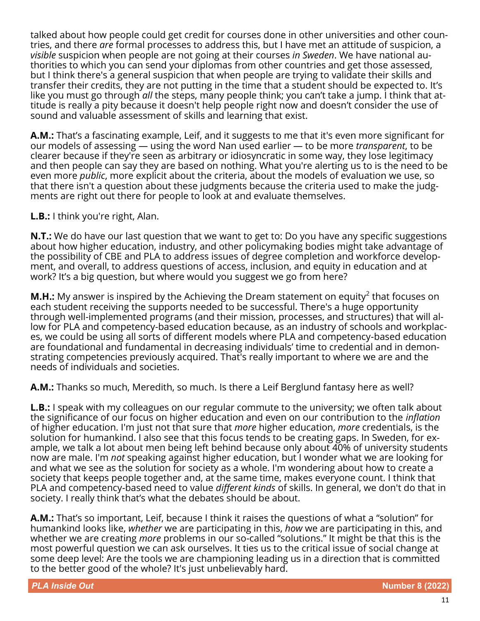talked about how people could get credit for courses done in other universities and other countries, and there *are* formal processes to address this, but I have met an attitude of suspicion, a *visible* suspicion when people are not going at their courses *in Sweden*. We have national authorities to which you can send your diplomas from other countries and get those assessed, but I think there's a general suspicion that when people are trying to validate their skills and transfer their credits, they are not putting in the time that a student should be expected to. It's like you must go through *all* the steps, many people think; you can't take a jump. I think that attitude is really a pity because it doesn't help people right now and doesn't consider the use of sound and valuable assessment of skills and learning that exist.

**A.M.:** That's a fascinating example, Leif, and it suggests to me that it's even more significant for our models of assessing — using the word Nan used earlier — to be more *transparent*, to be clearer because if they're seen as arbitrary or idiosyncratic in some way, they lose legitimacy and then people can say they are based on nothing. What you're alerting us to is the need to be even more *public*, more explicit about the criteria, about the models of evaluation we use, so that there isn't a question about these judgments because the criteria used to make the judgments are right out there for people to look at and evaluate themselves.

**L.B.:** I think you're right, Alan.

**N.T.:** We do have our last question that we want to get to: Do you have any specific suggestions about how higher education, industry, and other policymaking bodies might take advantage of the possibility of CBE and PLA to address issues of degree completion and workforce development, and overall, to address questions of access, inclusion, and equity in education and at work? It's a big question, but where would you suggest we go from here?

**M.H.:** My answer is inspired by the Achieving the Dream statement on equity<sup>2</sup> that focuses on each student receiving the supports needed to be successful. There's a huge opportunity through well-implemented programs (and their mission, processes, and structures) that will allow for PLA and competency-based education because, as an industry of schools and workplaces, we could be using all sorts of different models where PLA and competency-based education are foundational and fundamental in decreasing individuals' time to credential and in demonstrating competencies previously acquired. That's really important to where we are and the needs of individuals and societies.

**A.M.:** Thanks so much, Meredith, so much. Is there a Leif Berglund fantasy here as well?

**L.B.:** I speak with my colleagues on our regular commute to the university; we often talk about the significance of our focus on higher education and even on our contribution to the *inflation* of higher education. I'm just not that sure that *more* higher education, *more* credentials, is the solution for humankind. I also see that this focus tends to be creating gaps. In Sweden, for example, we talk a lot about men being left behind because only about 40% of university students now are male. I'm *not* speaking against higher education, but I wonder what we are looking for and what we see as the solution for society as a whole. I'm wondering about how to create a society that keeps people together and, at the same time, makes everyone count. I think that PLA and competency-based need to value *different kinds* of skills. In general, we don't do that in society. I really think that's what the debates should be about.

**A.M.:** That's so important, Leif, because I think it raises the questions of what a "solution" for humankind looks like, *whether* we are participating in this, *how* we are participating in this, and whether we are creating *more* problems in our so-called "solutions." It might be that this is the most powerful question we can ask ourselves. It ties us to the critical issue of social change at some deep level: Are the tools we are championing leading us in a direction that is committed to the better good of the whole? It's just unbelievably hard.